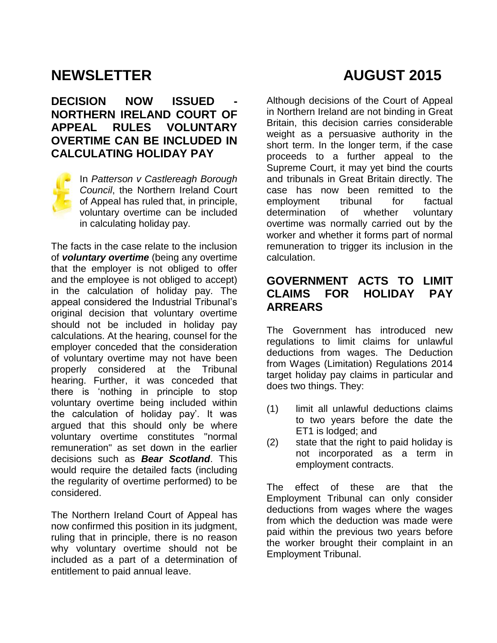# **NEWSLETTER AUGUST 2015**

### **DECISION NOW ISSUED - NORTHERN IRELAND COURT OF APPEAL RULES VOLUNTARY OVERTIME CAN BE INCLUDED IN CALCULATING HOLIDAY PAY**



In *Patterson v Castlereagh Borough Council*, the Northern Ireland Court of Appeal has ruled that, in principle, voluntary overtime can be included in calculating holiday pay.

The facts in the case relate to the inclusion of *voluntary overtime* (being any overtime that the employer is not obliged to offer and the employee is not obliged to accept) in the calculation of holiday pay. The appeal considered the Industrial Tribunal's original decision that voluntary overtime should not be included in holiday pay calculations. At the hearing, counsel for the employer conceded that the consideration of voluntary overtime may not have been properly considered at the Tribunal hearing. Further, it was conceded that there is 'nothing in principle to stop voluntary overtime being included within the calculation of holiday pay'. It was argued that this should only be where voluntary overtime constitutes "normal remuneration" as set down in the earlier decisions such as *Bear Scotland*. This would require the detailed facts (including the regularity of overtime performed) to be considered.

The Northern Ireland Court of Appeal has now confirmed this position in its judgment, ruling that in principle, there is no reason why voluntary overtime should not be included as a part of a determination of entitlement to paid annual leave.

Although decisions of the Court of Appeal in Northern Ireland are not binding in Great Britain, this decision carries considerable weight as a persuasive authority in the short term. In the longer term, if the case proceeds to a further appeal to the Supreme Court, it may yet bind the courts and tribunals in Great Britain directly. The case has now been remitted to the employment tribunal for factual determination of whether voluntary overtime was normally carried out by the worker and whether it forms part of normal remuneration to trigger its inclusion in the calculation.

#### **GOVERNMENT ACTS TO LIMIT CLAIMS FOR HOLIDAY PAY ARREARS**

The Government has introduced new regulations to limit claims for unlawful deductions from wages. The Deduction from Wages (Limitation) Regulations 2014 target holiday pay claims in particular and does two things. They:

- (1) limit all unlawful deductions claims to two years before the date the ET1 is lodged; and
- (2) state that the right to paid holiday is not incorporated as a term in employment contracts.

The effect of these are that the Employment Tribunal can only consider deductions from wages where the wages from which the deduction was made were paid within the previous two years before the worker brought their complaint in an Employment Tribunal.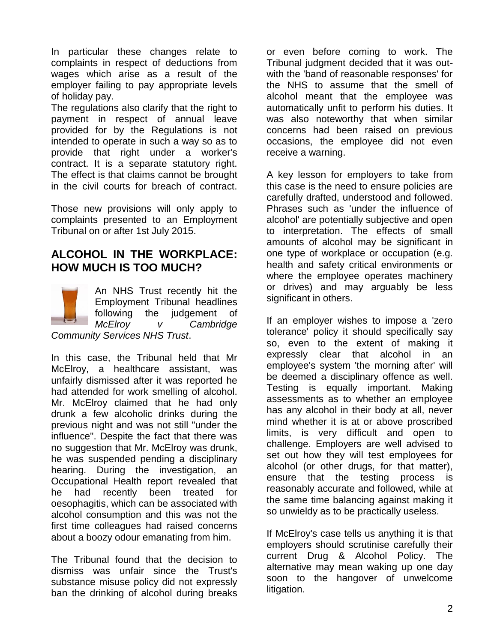In particular these changes relate to complaints in respect of deductions from wages which arise as a result of the employer failing to pay appropriate levels of holiday pay.

The regulations also clarify that the right to payment in respect of annual leave provided for by the Regulations is not intended to operate in such a way so as to provide that right under a worker's contract. It is a separate statutory right. The effect is that claims cannot be brought in the civil courts for breach of contract.

Those new provisions will only apply to complaints presented to an Employment Tribunal on or after 1st July 2015.

#### **ALCOHOL IN THE WORKPLACE: HOW MUCH IS TOO MUCH?**

An NHS Trust recently hit the Employment Tribunal headlines following the judgement of *McElroy v Cambridge Community Services NHS Trust*.

In this case, the Tribunal held that Mr McElroy, a healthcare assistant, was unfairly dismissed after it was reported he had attended for work smelling of alcohol. Mr. McElroy claimed that he had only drunk a few alcoholic drinks during the previous night and was not still "under the influence". Despite the fact that there was no suggestion that Mr. McElroy was drunk, he was suspended pending a disciplinary hearing. During the investigation, an Occupational Health report revealed that he had recently been treated for oesophagitis, which can be associated with alcohol consumption and this was not the first time colleagues had raised concerns about a boozy odour emanating from him.

The Tribunal found that the decision to dismiss was unfair since the Trust's substance misuse policy did not expressly ban the drinking of alcohol during breaks or even before coming to work. The Tribunal judgment decided that it was outwith the 'band of reasonable responses' for the NHS to assume that the smell of alcohol meant that the employee was automatically unfit to perform his duties. It was also noteworthy that when similar concerns had been raised on previous occasions, the employee did not even receive a warning.

A key lesson for employers to take from this case is the need to ensure policies are carefully drafted, understood and followed. Phrases such as 'under the influence of alcohol' are potentially subjective and open to interpretation. The effects of small amounts of alcohol may be significant in one type of workplace or occupation (e.g. health and safety critical environments or where the employee operates machinery or drives) and may arguably be less significant in others.

If an employer wishes to impose a 'zero tolerance' policy it should specifically say so, even to the extent of making it expressly clear that alcohol in an employee's system 'the morning after' will be deemed a disciplinary offence as well. Testing is equally important. Making assessments as to whether an employee has any alcohol in their body at all, never mind whether it is at or above proscribed limits, is very difficult and open to challenge. Employers are well advised to set out how they will test employees for alcohol (or other drugs, for that matter), ensure that the testing process is reasonably accurate and followed, while at the same time balancing against making it so unwieldy as to be practically useless.

If McElroy's case tells us anything it is that employers should scrutinise carefully their current Drug & Alcohol Policy. The alternative may mean waking up one day soon to the hangover of unwelcome litigation.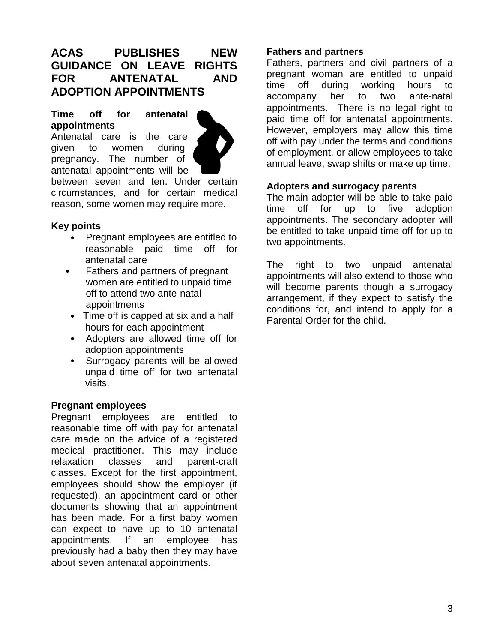#### **ACAS PUBLISHES NEW GUIDANCE ON LEAVE RIGHTS FOR ANTENATAL AND ADOPTION APPOINTMENTS**

#### **Time off for antenatal appointments**

Antenatal care is the care given to women during pregnancy. The number of antenatal appointments will be



between seven and ten. Under certain circumstances, and for certain medical reason, some women may require more.

#### **Key points**

- Pregnant employees are entitled to reasonable paid time off for antenatal care
- Fathers and partners of pregnant women are entitled to unpaid time off to attend two ante-natal appointments
- Time off is capped at six and a half hours for each appointment
- Adopters are allowed time off for adoption appointments
- Surrogacy parents will be allowed unpaid time off for two antenatal visits.

#### **Pregnant employees**

Pregnant employees are entitled to reasonable time off with pay for antenatal care made on the advice of a registered medical practitioner. This may include relaxation classes and parent-craft classes. Except for the first appointment, employees should show the employer (if requested), an appointment card or other documents showing that an appointment has been made. For a first baby women can expect to have up to 10 antenatal appointments. If an employee has previously had a baby then they may have about seven antenatal appointments.

#### **Fathers and partners**

Fathers, partners and civil partners of a pregnant woman are entitled to unpaid time off during working hours to accompany her to two ante-natal appointments. There is no legal right to paid time off for antenatal appointments. However, employers may allow this time off with pay under the terms and conditions of employment, or allow employees to take annual leave, swap shifts or make up time.

#### **Adopters and surrogacy parents**

The main adopter will be able to take paid time off for up to five adoption appointments. The secondary adopter will be entitled to take unpaid time off for up to two appointments.

The right to two unpaid antenatal appointments will also extend to those who will become parents though a surrogacy arrangement, if they expect to satisfy the conditions for, and intend to apply for a Parental Order for the child.